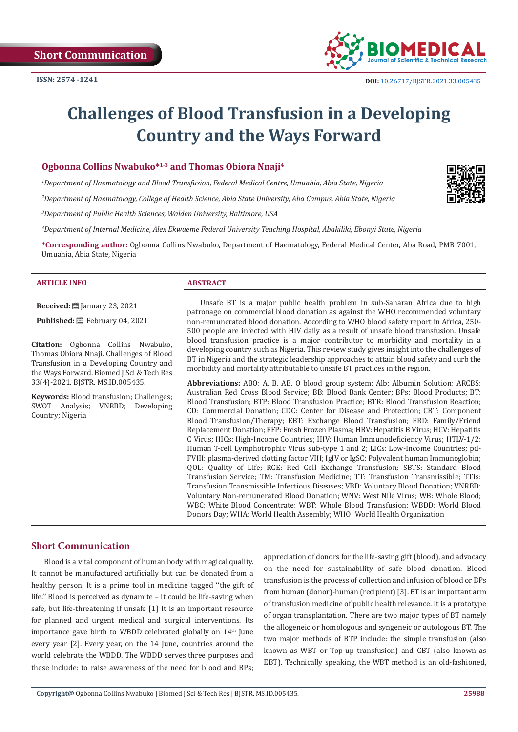

# **Challenges of Blood Transfusion in a Developing Country and the Ways Forward**

# **Ogbonna Collins Nwabuko\*1-3 and Thomas Obiora Nnaji4**

*1 Department of Haematology and Blood Transfusion, Federal Medical Centre, Umuahia, Abia State, Nigeria*

*2 Department of Haematology, College of Health Science, Abia State University, Aba Campus, Abia State, Nigeria*

*3 Department of Public Health Sciences, Walden University, Baltimore, USA*

*4 Department of Internal Medicine, Alex Ekwueme Federal University Teaching Hospital, Abakiliki, Ebonyi State, Nigeria*

**\*Corresponding author:** Ogbonna Collins Nwabuko, Department of Haematology, Federal Medical Center, Aba Road, PMB 7001, Umuahia, Abia State, Nigeria

#### **ARTICLE INFO ABSTRACT**

**Received:** ■ January 23, 2021

Published: **■**February 04, 2021

**Citation:** Ogbonna Collins Nwabuko, Thomas Obiora Nnaji. Challenges of Blood Transfusion in a Developing Country and the Ways Forward. Biomed J Sci & Tech Res 33(4)-2021. BJSTR. MS.ID.005435.

**Keywords:** Blood transfusion; Challenges; SWOT Analysis; VNRBD; Developing Country; Nigeria

Unsafe BT is a major public health problem in sub-Saharan Africa due to high patronage on commercial blood donation as against the WHO recommended voluntary non-remunerated blood donation. According to WHO blood safety report in Africa, 250- 500 people are infected with HIV daily as a result of unsafe blood transfusion. Unsafe blood transfusion practice is a major contributor to morbidity and mortality in a developing country such as Nigeria. This review study gives insight into the challenges of BT in Nigeria and the strategic leadership approaches to attain blood safety and curb the morbidity and mortality attributable to unsafe BT practices in the region.

**Abbreviations:** ABO: A, B, AB, O blood group system; Alb: Albumin Solution; ARCBS: Australian Red Cross Blood Service; BB: Blood Bank Center; BPs: Blood Products; BT: Blood Transfusion; BTP: Blood Transfusion Practice; BTR: Blood Transfusion Reaction; CD: Commercial Donation; CDC: Center for Disease and Protection; CBT: Component Blood Transfusion/Therapy; EBT: Exchange Blood Transfusion; FRD: Family/Friend Replacement Donation; FFP: Fresh Frozen Plasma; HBV: Hepatitis B Virus; HCV: Hepatitis C Virus; HICs: High-Income Countries; HIV: Human Immunodeficiency Virus; HTLV-1/2: Human T-cell Lymphotrophic Virus sub-type 1 and 2; LICs: Low-Income Countries; pd-FVIII: plasma-derived clotting factor VIII; IgIV or IgSC: Polyvalent human Immunoglobin; QOL: Quality of Life; RCE: Red Cell Exchange Transfusion; SBTS: Standard Blood Transfusion Service; TM: Transfusion Medicine; TT: Transfusion Transmissible; TTIs: Transfusion Transmissible Infectious Diseases; VBD: Voluntary Blood Donation; VNRBD: Voluntary Non-remunerated Blood Donation; WNV: West Nile Virus; WB: Whole Blood; WBC: White Blood Concentrate; WBT: Whole Blood Transfusion; WBDD: World Blood Donors Day; WHA: World Health Assembly; WHO: World Health Organization

### **Short Communication**

Blood is a vital component of human body with magical quality. It cannot be manufactured artificially but can be donated from a healthy person. It is a prime tool in medicine tagged ''the gift of life.'' Blood is perceived as dynamite – it could be life-saving when safe, but life-threatening if unsafe [1] It is an important resource for planned and urgent medical and surgical interventions. Its importance gave birth to WBDD celebrated globally on 14<sup>th</sup> June every year [2]. Every year, on the 14 June, countries around the world celebrate the WBDD. The WBDD serves three purposes and these include: to raise awareness of the need for blood and BPs; appreciation of donors for the life-saving gift (blood), and advocacy on the need for sustainability of safe blood donation. Blood transfusion is the process of collection and infusion of blood or BPs from human (donor)-human (recipient) [3]. BT is an important arm of transfusion medicine of public health relevance. It is a prototype of organ transplantation. There are two major types of BT namely the allogeneic or homologous and syngeneic or autologous BT. The two major methods of BTP include: the simple transfusion (also known as WBT or Top-up transfusion) and CBT (also known as EBT). Technically speaking, the WBT method is an old-fashioned,

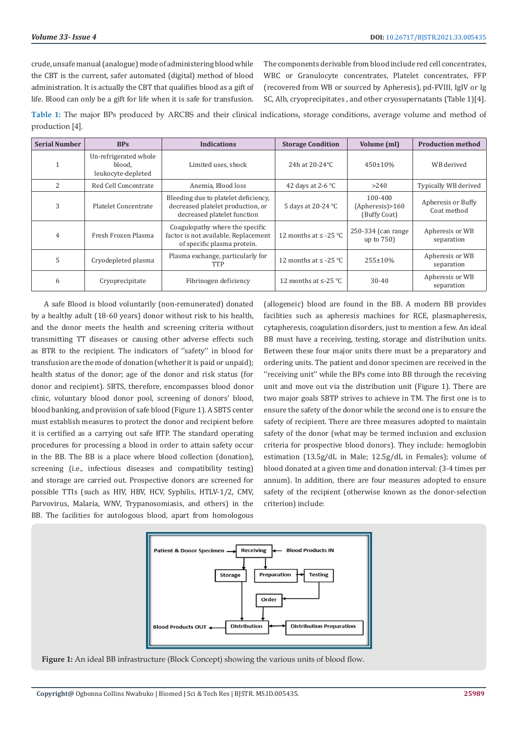crude, unsafe manual (analogue) mode of administering blood while the CBT is the current, safer automated (digital) method of blood administration. It is actually the CBT that qualifies blood as a gift of life. Blood can only be a gift for life when it is safe for transfusion.

The components derivable from blood include red cell concentrates, WBC or Granulocyte concentrates, Platelet concentrates, FFP (recovered from WB or sourced by Apheresis), pd-FVIII, IgIV or Ig SC, Alb, cryoprecipitates , and other cryosupernatants (Table 1)[4].

**Table 1:** The major BPs produced by ARCBS and their clinical indications, storage conditions, average volume and method of production [4].

| <b>Serial Number</b> | <b>BPs</b>                                            | <b>Indications</b>                                                                                       | <b>Storage Condition</b>   | Volume (ml)                                | <b>Production method</b>          |
|----------------------|-------------------------------------------------------|----------------------------------------------------------------------------------------------------------|----------------------------|--------------------------------------------|-----------------------------------|
|                      | Un-refrigerated whole<br>blood.<br>leukocyte-depleted | Limited uses, shock                                                                                      | 24h at 20-24 °C            | $450 \pm 10\%$                             | WB derived                        |
| 2                    | Red Cell Concentrate                                  | Anemia, Blood loss                                                                                       | 42 days at 2-6 $\degree$ C | >240                                       | Typically WB derived              |
| 3                    | Platelet Concentrate                                  | Bleeding due to platelet deficiency,<br>decreased platelet production, or<br>decreased platelet function | 5 days at 20-24 °C         | 100-400<br>(Apheres) > 160<br>(Buffy Coat) | Apheresis or Buffy<br>Coat method |
| $\overline{4}$       | Fresh Frozen Plasma                                   | Coagulopathy where the specific<br>factor is not available. Replacement<br>of specific plasma protein.   | 12 months at $\leq$ -25 °C | 250-334 (can range)<br>up to 750)          | Apheresis or WB<br>separation     |
| 5                    | Cryodepleted plasma                                   | Plasma exchange, particularly for<br>TTP                                                                 | 12 months at $\leq$ -25 °C | 255±10%                                    | Apheresis or WB<br>separation     |
| 6                    | Cryoprecipitate                                       | Fibrinogen deficiency                                                                                    | 12 months at $\le$ -25 °C  | 30-40                                      | Apheresis or WB<br>separation     |

A safe Blood is blood voluntarily (non-remunerated) donated by a healthy adult (18-60 years) donor without risk to his health, and the donor meets the health and screening criteria without transmitting TT diseases or causing other adverse effects such as BTR to the recipient. The indicators of ''safety'' in blood for transfusion are the mode of donation (whether it is paid or unpaid); health status of the donor; age of the donor and risk status (for donor and recipient). SBTS, therefore, encompasses blood donor clinic, voluntary blood donor pool, screening of donors' blood, blood banking, and provision of safe blood (Figure 1). A SBTS center must establish measures to protect the donor and recipient before it is certified as a carrying out safe BTP. The standard operating procedures for processing a blood in order to attain safety occur in the BB. The BB is a place where blood collection (donation), screening (i.e., infectious diseases and compatibility testing) and storage are carried out. Prospective donors are screened for possible TTIs (such as HIV, HBV, HCV, Syphilis, HTLV-1/2, CMV, Parvovirus, Malaria, WNV, Trypanosomiasis, and others) in the BB. The facilities for autologous blood, apart from homologous

(allogeneic) blood are found in the BB. A modern BB provides facilities such as apheresis machines for RCE, plasmapheresis, cytapheresis, coagulation disorders, just to mention a few. An ideal BB must have a receiving, testing, storage and distribution units. Between these four major units there must be a preparatory and ordering units. The patient and donor specimen are received in the ''receiving unit'' while the BPs come into BB through the receiving unit and move out via the distribution unit (Figure 1). There are two major goals SBTP strives to achieve in TM. The first one is to ensure the safety of the donor while the second one is to ensure the safety of recipient. There are three measures adopted to maintain safety of the donor (what may be termed inclusion and exclusion criteria for prospective blood donors). They include: hemoglobin estimation (13.5g/dL in Male; 12.5g/dL in Females); volume of blood donated at a given time and donation interval: (3-4 times per annum). In addition, there are four measures adopted to ensure safety of the recipient (otherwise known as the donor-selection criterion) include:



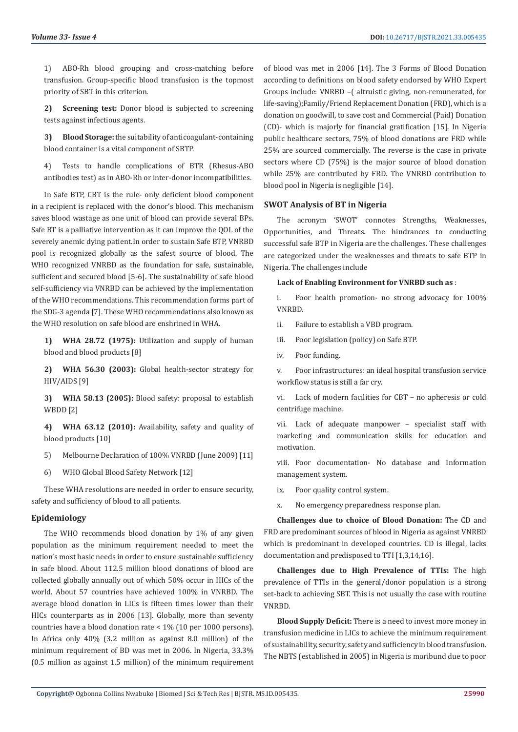1) ABO-Rh blood grouping and cross-matching before transfusion. Group-specific blood transfusion is the topmost priority of SBT in this criterion.

**2) Screening test:** Donor blood is subjected to screening tests against infectious agents.

**3) Blood Storage:** the suitability of anticoagulant-containing blood container is a vital component of SBTP.

4) Tests to handle complications of BTR (Rhesus-ABO antibodies test) as in ABO-Rh or inter-donor incompatibilities.

In Safe BTP, CBT is the rule- only deficient blood component in a recipient is replaced with the donor's blood. This mechanism saves blood wastage as one unit of blood can provide several BPs. Safe BT is a palliative intervention as it can improve the QOL of the severely anemic dying patient.In order to sustain Safe BTP, VNRBD pool is recognized globally as the safest source of blood. The WHO recognized VNRBD as the foundation for safe, sustainable, sufficient and secured blood [5-6]. The sustainability of safe blood self-sufficiency via VNRBD can be achieved by the implementation of the WHO recommendations. This recommendation forms part of the SDG-3 agenda [7]. These WHO recommendations also known as the WHO resolution on safe blood are enshrined in WHA.

**1) WHA 28.72 (1975):** Utilization and supply of human blood and blood products [8]

**2) WHA 56.30 (2003):** Global health-sector strategy for HIV/AIDS [9]

**3) WHA 58.13 (2005):** Blood safety: proposal to establish WBDD [2]

**4) WHA 63.12 (2010):** Availability, safety and quality of blood products [10]

- 5) Melbourne Declaration of 100% VNRBD (June 2009) [11]
- 6) WHO Global Blood Safety Network [12]

These WHA resolutions are needed in order to ensure security, safety and sufficiency of blood to all patients.

### **Epidemiology**

The WHO recommends blood donation by 1% of any given population as the minimum requirement needed to meet the nation's most basic needs in order to ensure sustainable sufficiency in safe blood. About 112.5 million blood donations of blood are collected globally annually out of which 50% occur in HICs of the world. About 57 countries have achieved 100% in VNRBD. The average blood donation in LICs is fifteen times lower than their HICs counterparts as in 2006 [13]. Globally, more than seventy countries have a blood donation rate < 1% (10 per 1000 persons). In Africa only 40% (3.2 million as against 8.0 million) of the minimum requirement of BD was met in 2006. In Nigeria, 33.3% (0.5 million as against 1.5 million) of the minimum requirement of blood was met in 2006 [14]. The 3 Forms of Blood Donation according to definitions on blood safety endorsed by WHO Expert Groups include: VNRBD –( altruistic giving, non-remunerated, for life-saving);Family/Friend Replacement Donation (FRD), which is a donation on goodwill, to save cost and Commercial (Paid) Donation (CD)- which is majorly for financial gratification [15]. In Nigeria public healthcare sectors, 75% of blood donations are FRD while 25% are sourced commercially. The reverse is the case in private sectors where CD (75%) is the major source of blood donation while 25% are contributed by FRD. The VNRBD contribution to blood pool in Nigeria is negligible [14].

#### **SWOT Analysis of BT in Nigeria**

The acronym 'SWOT' connotes Strengths, Weaknesses, Opportunities, and Threats. The hindrances to conducting successful safe BTP in Nigeria are the challenges. These challenges are categorized under the weaknesses and threats to safe BTP in Nigeria. The challenges include

#### **Lack of Enabling Environment for VNRBD such as** :

i. Poor health promotion- no strong advocacy for 100% VNRBD.

- ii. Failure to establish a VBD program.
- iii. Poor legislation (policy) on Safe BTP.
- iv. Poor funding.

v. Poor infrastructures: an ideal hospital transfusion service workflow status is still a far cry.

vi. Lack of modern facilities for CBT – no apheresis or cold centrifuge machine.

vii. Lack of adequate manpower – specialist staff with marketing and communication skills for education and motivation.

viii. Poor documentation- No database and Information management system.

ix. Poor quality control system.

x. No emergency preparedness response plan.

**Challenges due to choice of Blood Donation:** The CD and FRD are predominant sources of blood in Nigeria as against VNRBD which is predominant in developed countries. CD is illegal, lacks documentation and predisposed to TTI [1,3,14,16].

**Challenges due to High Prevalence of TTIs:** The high prevalence of TTIs in the general/donor population is a strong set-back to achieving SBT. This is not usually the case with routine VNRBD.

**Blood Supply Deficit:** There is a need to invest more money in transfusion medicine in LICs to achieve the minimum requirement of sustainability, security, safety and sufficiency in blood transfusion. The NBTS (established in 2005) in Nigeria is moribund due to poor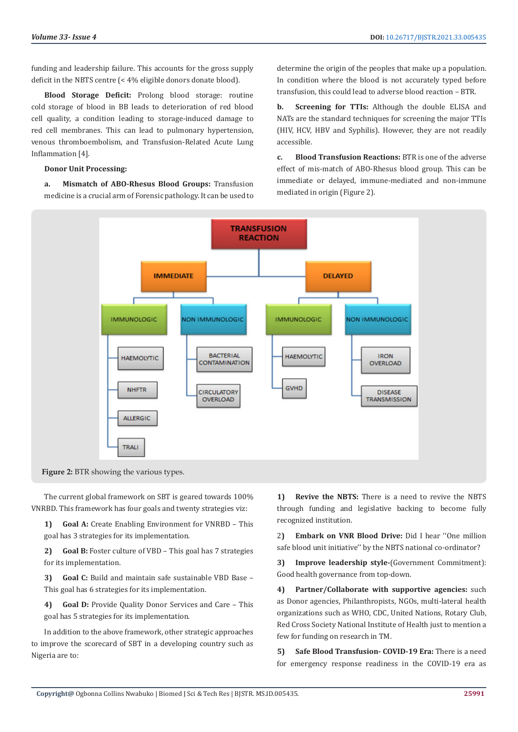funding and leadership failure. This accounts for the gross supply deficit in the NBTS centre (< 4% eligible donors donate blood).

**Blood Storage Deficit:** Prolong blood storage: routine cold storage of blood in BB leads to deterioration of red blood cell quality, a condition leading to storage-induced damage to red cell membranes. This can lead to pulmonary hypertension, venous thromboembolism, and Transfusion-Related Acute Lung Inflammation [4].

#### **Donor Unit Processing:**

**a. Mismatch of ABO-Rhesus Blood Groups:** Transfusion medicine is a crucial arm of Forensic pathology. It can be used to

determine the origin of the peoples that make up a population. In condition where the blood is not accurately typed before transfusion, this could lead to adverse blood reaction – BTR.

**b. Screening for TTIs:** Although the double ELISA and NATs are the standard techniques for screening the major TTIs (HIV, HCV, HBV and Syphilis). However, they are not readily accessible.

**c. Blood Transfusion Reactions:** BTR is one of the adverse effect of mis-match of ABO-Rhesus blood group. This can be immediate or delayed, immune-mediated and non-immune mediated in origin (Figure 2).



Figure 2: BTR showing the various types.

The current global framework on SBT is geared towards 100% VNRBD. This framework has four goals and twenty strategies viz:

**1) Goal A:** Create Enabling Environment for VNRBD – This goal has 3 strategies for its implementation.

**2) Goal B:** Foster culture of VBD – This goal has 7 strategies for its implementation.

**3) Goal C:** Build and maintain safe sustainable VBD Base – This goal has 6 strategies for its implementation.

**4) Goal D:** Provide Quality Donor Services and Care – This goal has 5 strategies for its implementation.

In addition to the above framework, other strategic approaches to improve the scorecard of SBT in a developing country such as Nigeria are to:

**1) Revive the NBTS:** There is a need to revive the NBTS through funding and legislative backing to become fully recognized institution.

2**) Embark on VNR Blood Drive:** Did I hear ''One million safe blood unit initiative'' by the NBTS national co-ordinator?

**3) Improve leadership style-**(Government Commitment): Good health governance from top-down.

**4) Partner/Collaborate with supportive agencies:** such as Donor agencies, Philanthropists, NGOs, multi-lateral health organizations such as WHO, CDC, United Nations, Rotary Club, Red Cross Society National Institute of Health just to mention a few for funding on research in TM.

**5) Safe Blood Transfusion- COVID-19 Era:** There is a need for emergency response readiness in the COVID-19 era as